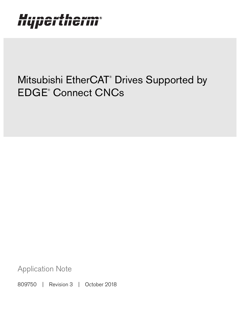# Hypertherm®

# Mitsubishi EtherCAT® Drives Supported by EDGE® Connect CNCs

Application Note

809750 | Revision 3 | October 2018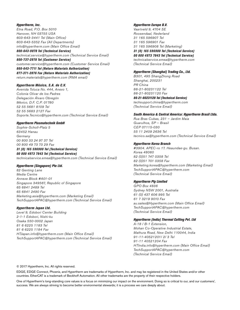### Hypertherm, Inc.

Etna Road, P.O. Box 5010 Hanover, NH 03755 USA 603-643-3441 Tel (Main Office) 603-643-5352 Fax (All Departments) info@hypertherm.com (Main Office Email)

800-643-9878 Tel (Technical Service) technical.service@hypertherm.com (Technical Service Email) 800-737-2978 Tel (Customer Service)

customer.service@hypertherm.com (Customer Service Email)

866-643-7711 Tel (Return Materials Authorization) 877-371-2876 Fax (Return Materials Authorization) return.materials@hypertherm.com (RMA email)

### Hypertherm México, S.A. de C.V.

Avenida Toluca No. 444, Anexo 1, Colonia Olivar de los Padres Delegación Álvaro Obregón México, D.F. C.P. 01780 52 55 5681 8109 Tel 52 55 5683 2127 Fax Soporte.Tecnico@hypertherm.com (Technical Service Email)

### Hypertherm Plasmatechnik GmbH

Sophie-Scholl-Platz 5 63452 Hanau **Germany** 00 800 33 24 97 37 Tel 00 800 49 73 73 29 Fax

### 31 (0) 165 596900 Tel (Technical Service)

00 800 4973 7843 Tel (Technical Service) technicalservice.emea@hypertherm.com (Technical Service Email)

### Hypertherm (Singapore) Pte Ltd.

82 Genting Lane Media Centre Annexe Block #A01-01 Singapore 349567, Republic of Singapore 65 6841 2489 Tel 65 6841 2490 Fax Marketing.asia@hypertherm.com (Marketing Email) TechSupportAPAC@hypertherm.com (Technical Service Email)

#### Hypertherm Japan Ltd.

Level 9, Edobori Center Building 2-1-1 Edobori, Nishi-ku Osaka 550-0002 Japan 81 6 6225 1183 Tel 81 6 6225 1184 Fax HTJapan.info@hypertherm.com (Main Office Email) TechSupportAPAC@hypertherm.com (Technical Service Email)

### Hypertherm Europe B.V.

Vaartveld 9, 4704 SE Roosendaal, Nederland 31 165 596907 Tel 31 165 596901 Fax 31 165 596908 Tel (Marketing) 31 (0) 165 596900 Tel (Technical Service) 00 800 4973 7843 Tel (Technical Service)

technicalservice.emea@hypertherm.com (Technical Service Email)

#### Hypertherm (Shanghai) Trading Co., Ltd.

B301, 495 ShangZhong Road Shanghai, 200231 PR China 86-21-80231122 Tel 86-21-80231120 Fax

86-21-80231128 Tel (Technical Service) techsupport.china@hypertherm.com (Technical Service Email)

### South America & Central America: Hypertherm Brasil Ltda.

Rua Bras Cubas, 231 – Jardim Maia Guarulhos, SP – Brasil CEP 07115-030 55 11 2409 2636 Tel tecnico.sa@hypertherm.com (Technical Service Email)

#### Hypertherm Korea Branch

#3904. APEC-ro 17. Heaundae-gu. Busan. Korea 48060 82 (0)51 747 0358 Tel 82 (0)51 701 0358 Fax Marketing.korea@hypertherm.com (Marketing Email) TechSupportAPAC@hypertherm.com (Technical Service Email)

#### Hypertherm Pty Limited

GPO Box 4836 Sydney NSW 2001, Australia 61 (0) 437 606 995 Tel 61 7 3219 9010 Fax au.sales@Hypertherm.com (Main Office Email) TechSupportAPAC@hypertherm.com (Technical Service Email)

### Hypertherm (India) Thermal Cutting Pvt. Ltd

A-18 / B-1 Extension, Mohan Co-Operative Industrial Estate, Mathura Road, New Delhi 110044, India 91-11-40521201/ 2/ 3 Tel 91-11 40521204 Fax HTIndia.info@hypertherm.com (Main Office Email) TechSupportAPAC@hypertherm.com (Technical Service Email)

© 2017 Hypertherm, Inc. All rights reserved.

EDGE, EDGE Connect, Phoenix, and Hypertherm are trademarks of Hypertherm, Inc. and may be registered in the United States and/or other countries. EtherCAT is a trademark of Beckhoff Automation. All other trademarks are the property of their respective holders.

One of Hypertherm's long-standing core values is a focus on minimizing our impact on the environment. Doing so is critical to our, and our customers', success. We are always striving to become better environmental stewards; it is a process we care deeply about.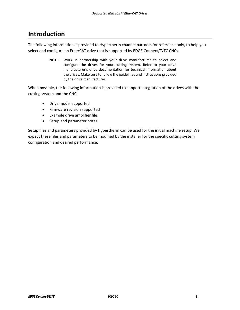# **Introduction**

The following information is provided to Hypertherm channel partners for reference only, to help you select and configure an EtherCAT drive that is supported by EDGE Connect/T/TC CNCs.

> **NOTE:** Work in partnership with your drive manufacturer to select and configure the drives for your cutting system. Refer to your drive manufacturer's drive documentation for technical information about the drives. Make sure to follow the guidelines and instructions provided by the drive manufacturer.

When possible, the following information is provided to support integration of the drives with the cutting system and the CNC.

- Drive model supported
- Firmware revision supported
- Example drive amplifier file
- Setup and parameter notes

Setup files and parameters provided by Hypertherm can be used for the initial machine setup. We expect these files and parameters to be modified by the installer for the specific cutting system configuration and desired performance.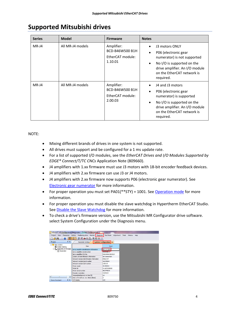| <b>Series</b> | <b>Model</b>     | <b>Firmware</b>                                              | <b>Notes</b>                                                                                                                                                                     |
|---------------|------------------|--------------------------------------------------------------|----------------------------------------------------------------------------------------------------------------------------------------------------------------------------------|
| $MR-J4$       | All MR-J4 models | Amplifier:<br>BCD-B46W500 B1H<br>EtherCAT module:<br>1.10.01 | J3 motors ONLY<br>P06 (electronic gear<br>numerator) is not supported<br>No I/O is supported on the<br>drive amplifier. An I/O module<br>on the EtherCAT network is<br>required. |
| $MR-J4$       | All MR-J4 models | Amplifier:<br>BCD-B46W500 B1H<br>EtherCAT module:<br>2.00.03 | J4 and J3 motors<br>P06 (electronic gear<br>numerator) is supported<br>No I/O is supported on the<br>drive amplifier. An I/O module<br>on the EtherCAT network is<br>required.   |

# **Supported Mitsubishi drives**

NOTE:

- Mixing different brands of drives in one system is not supported.
- All drives must support and be configured for a 1 ms update rate.
- For a list of supported I/O modules, see the *EtherCAT Drives and I/O Modules Supported by EDGE® Connect/T/TC CNCs* Application Note (809660).
- J4 amplifiers with 1.xx firmware must use J3 motors with 18‐bit encoder feedback devices.
- J4 amplifiers with 2.xx firmware can use J3 or J4 motors.
- J4 amplifiers with 2.xx firmware now supports P06 (electronic gear numerator). See [Electronic gear numerator](#page-6-0) for more information.
- For proper operation you must set PA01(\*\*STY) = 1001. See [Operation mode](#page-6-0) for more information.
- For proper operation you must disable the slave watchdog in Hypertherm EtherCAT Studio. See **Disable the Slave Watchdog** for more information.
- To check a drive's firmware version, use the Mitsubishi MR Configurator drive software. select System Configuration under the Diagnosis menu.

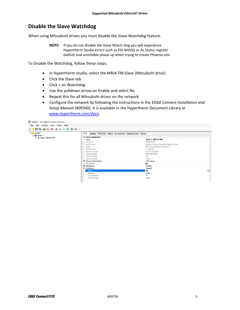# <span id="page-4-0"></span>**Disable the Slave Watchdog**

When using Mitsubishi drives you must disable the Slave Watchdog feature.

**NOTE:** If you do not disable the Slave Watch Dog you will experience Hypertherm Studio errors such as PDI WDOG or AL Status register 0x002e and unreliable phase up when trying to create Phoenix.xml.

To Disable the Watchdog, follow these steps;

- In Hypertherm studio, select the MRJ4‐TM Slave (Mitsubishi drive)
- Click the Slave tab
- Click + on Watchdog
- Use the pulldown arrow on Enable and select No
- Repeat this for all Mitsubishi drives on the network
- Configure the network by following the instructions in the *EDGE Connect Installation and Setup Manual* (809340). It is available in the Hypertherm Document Library at www.hypertherm.com/docs.

S Untitled\* - KPA EtherCAT Studio Premium

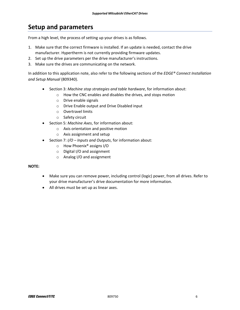# **Setup and parameters**

From a high level, the process of setting up your drives is as follows.

- 1. Make sure that the correct firmware is installed. If an update is needed, contact the drive manufacturer. Hypertherm is not currently providing firmware updates.
- 2. Set up the drive parameters per the drive manufacturer's instructions.
- 3. Make sure the drives are communicating on the network.

In addition to this application note, also refer to the following sections of the *EDGE® Connect Installation and Setup Manual* (809340).

- Section 3: *Machine stop strategies and table hardware*, for information about:
	- o How the CNC enables and disables the drives, and stops motion
	- o Drive enable signals
	- o Drive Enable output and Drive Disabled input
	- o Overtravel limits
	- o Safety circuit
- Section 5: *Machine Axes*, for information about:
	- o Axis orientation and positive motion
	- o Axis assignment and setup
- Section 7: *I/O Inputs and Outputs*, for information about:
	- o How Phoenix® assigns I/O
	- o Digital I/O and assignment
	- o Analog I/O and assignment

### **NOTE:**

- Make sure you can remove power, including control (logic) power, from all drives. Refer to your drive manufacturer's drive documentation for more information.
- All drives must be set up as linear axes.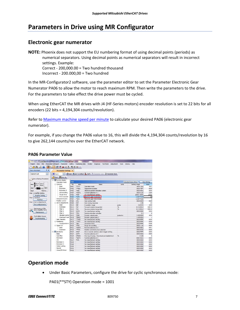# <span id="page-6-0"></span>**Parameters in Drive using MR Configurator**

# **Electronic gear numerator**

**NOTE:** Phoenix does not support the EU numbering format of using decimal points (periods) as numerical separators. Using decimal points as numerical separators will result in incorrect settings. Example: Correct ‐ 200,000.00 = Two hundred thousand Incorrect ‐ 200.000,00 = Two hundred

In the MR‐Configurator2 software, use the parameter editor to set the Parameter Electronic Gear Numerator PA06 to allow the motor to reach maximum RPM. Then write the parameters to the drive. For the parameters to take effect the drive power must be cycled.

When using EtherCAT the MR drives with J4 (HF-Series motors) encoder resolution is set to 22 bits for all encoders (22 bits = 4,194,304 counts/revolution).

Refer to [Maximum machine speed per minute](#page-8-0) to calculate your desired PA06 (electronic gear numerator).

For example, if you change the PA06 value to 16, this will divide the 4,194,304 counts/revolution by 16 to give 262,144 counts/rev over the EtherCAT network.

### **PA06 Parameter Value**

| MELSOFT MR Configurator2 New project - [Parameter Setting] |                                          |             |                   |                                                                        |                  |                                      |          |  |  |
|------------------------------------------------------------|------------------------------------------|-------------|-------------------|------------------------------------------------------------------------|------------------|--------------------------------------|----------|--|--|
| Project View<br>File                                       | Parameter Setting(Z)<br>Parameter Safety |             | Positioning-data  | Monitor<br>Diagnosis<br>Test Mode                                      | Adjustment Tools | Window<br>Help                       |          |  |  |
| $  \mathbf{H}  \mathbf{C}  $<br><b>PBAGO</b>               | <b>限期部項Ⅰ 長野田野</b>                        |             |                   |                                                                        |                  |                                      |          |  |  |
| <b>Servo Assistant</b><br>Q X                              | <b>Parameter Setting X</b>               |             |                   |                                                                        |                  |                                      |          |  |  |
| $\check{ }$<br>Assistant List                              | $\mathbf{v}$<br>Axis1                    |             |                   | Read & Set To Default Wa Verify The Parameter Copy The Parameter Block |                  |                                      |          |  |  |
|                                                            | Open Save As                             |             |                   |                                                                        |                  |                                      |          |  |  |
| Servo Startup Procedure                                    | 日 图 Function display                     |             |                   |                                                                        |                  |                                      |          |  |  |
|                                                            | Basic<br>Operation mode                  |             |                   |                                                                        |                  | Selected Items Write<br>Axis Writing |          |  |  |
| Servo<br>Servo<br>step1                                    | E Common                                 | No.         | Abbr.             | Name                                                                   | Units            | Setting range                        | Axis 1   |  |  |
| Amp<br>Motor                                               | Basic                                    | <b>PA01</b> | **STY             | Operation mode                                                         |                  | 1000-1262                            | 1001     |  |  |
| step2                                                      | Extension                                | <b>PA02</b> | **RFG             | Regenerative option                                                    |                  | 0000-70FF                            | 0000     |  |  |
| Machine<br>step3                                           | Extension 2                              | <b>PA03</b> | *ARS              | Absolute position detection system                                     |                  | 0000-0001                            | 0000     |  |  |
| Step 1: Amplifier Setting                                  | Alarm setting                            | <b>PA04</b> | *AOP1             | Function selection A-1                                                 |                  | 0000-2130                            | 2100     |  |  |
| Amplifier Setting                                          | Tough drive                              | <b>PA05</b> | *FBP              | For manufacturer setting                                               |                  | 10000-10000                          | 10000    |  |  |
|                                                            | Drive recorder                           | <b>PA06</b> | *CMX              | Electronic gear numerator                                              |                  | 1-16777215                           | 64       |  |  |
| Step 2: Test Run                                           | Component parts                          | <b>PA07</b> | *CDV              | Electronic gear denominator                                            |                  | 1-16777215                           |          |  |  |
| <b>Test Run</b>                                            | Position control                         | <b>PA08</b> | ATU               | Auto tuning mode                                                       |                  | 0000-0004                            | 0004     |  |  |
| Step 3: Servo Adiustments                                  | Servo adjustments                        | <b>PA09</b> | <b>RSP</b>        | Auto tuning response                                                   |                  | $1 - 40$                             | 22       |  |  |
| Servo Adjustments<br>Basic                                 |                                          | <b>PA10</b> | <b>INP</b>        | In-position range                                                      | pulse            | 0-65535                              | 1600     |  |  |
|                                                            | Extension                                | <b>PA11</b> | <b>TIP</b>        | Forward rotation torque limit                                          | $\frac{9}{6}$    | $0.0 - 1000.0$                       | 1000.0   |  |  |
| Maintenance of the<br>Servo Amplifier Parts                | Filter 1                                 | <b>PA12</b> | TI <sub>N</sub>   | Reverse rotation torque limit                                          | $\frac{1}{2}$    | $0.0 - 1000.0$                       | 1000.0   |  |  |
| Filter <sub>2</sub><br>Maintenance<br>Filter 3             |                                          | <b>PA13</b> | AOP <sub>2</sub>  | For manufacturer setting                                               |                  | 0000-0000                            | 0000     |  |  |
|                                                            |                                          | <b>PA14</b> | *POL              | Rotation direction selection                                           |                  | $0 - 1$                              | $\Omega$ |  |  |
|                                                            | Vibration contro                         | <b>PA15</b> | *FNR              | Encoder output pulse                                                   | pulse/rev        | 1-4194304                            | 4000     |  |  |
| If a Problem Occurs                                        | One-touch tunir                          | <b>PA16</b> | *ENR <sub>2</sub> | Encoder output pulse 2                                                 |                  | 1-4194304                            |          |  |  |
| Troubleshooting<br>Gain changing                           |                                          |             | **MSR             | For manufacturer setting                                               |                  | 0000-FFFF                            | 0000     |  |  |
|                                                            | Positioning                              | <b>PA18</b> | **MTY             | For manufacturer setting                                               |                  | 0000-FFFF                            | 0000     |  |  |
|                                                            | Home position n                          | <b>PA19</b> | *BLK              | Parameter block                                                        |                  | 0000-FFFF                            | 00AB     |  |  |
|                                                            | Digital I/O                              | <b>PA20</b> | *TDS              | Tough drive setting                                                    |                  | 0000-1110                            | 0000     |  |  |
|                                                            | Basic                                    | <b>PA21</b> | *AOP3             | Function selection A-3                                                 |                  | 0000-0001                            | 0001     |  |  |
|                                                            | Extension                                | <b>PA22</b> | ** PCS            | Position control structure selection                                   |                  | 0000-0020                            | 0000     |  |  |
|                                                            | E Hill List display                      | <b>PA23</b> | DRAT              | Drive recorder arbitrary alarm trigger setting                         |                  | 0000-FFFF                            | 0000     |  |  |
|                                                            | Basic                                    | <b>PA24</b> | AOP4              | Function selection A-4                                                 |                  | 0000-0002                            | 0000     |  |  |
|                                                            | Gain/filter                              | <b>PA25</b> | OTHOV             | One-touch tuning - Overshoot permissible level                         | $\frac{9}{6}$    | $0 - 100$                            | $\Omega$ |  |  |
|                                                            | Extension                                | <b>PA26</b> | *AOP5             | Function selection A-5                                                 |                  | 0000-00A1                            | 0000     |  |  |
|                                                            | 1/0                                      | <b>PA27</b> | *HTL              | For manufacturer setting                                               |                  | 0000-0000                            | 0000     |  |  |
|                                                            | Extension 2                              | <b>PA28</b> |                   | For manufacturer setting                                               |                  | 0000-0000                            | 0000     |  |  |
|                                                            | Extension 3                              | <b>PA29</b> |                   | For manufacturer setting                                               |                  | 0000-0000                            | 0000     |  |  |
|                                                            | Option setting                           | <b>PA30</b> |                   | For manufacturer setting                                               |                  | 0000-0000                            | 0000     |  |  |
|                                                            | Special                                  | <b>PA31</b> |                   | For manufacturer setting                                               |                  | 0000-0000                            | 0000     |  |  |
|                                                            | Linear (DD Motor)                        | <b>DA32</b> |                   | For manufacturer eatting                                               |                  | 0000-0000                            | onno     |  |  |

# **Operation mode**

Under Basic Parameters, configure the drive for cyclic synchronous mode:

PA01(\*\*STY) Operation mode = 1001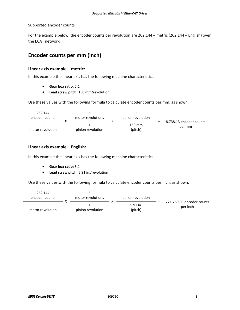Supported encoder counts

For the example below, the encoder counts per revolution are 262.144 – metric (262,144 – English) over the ECAT network.

# **Encoder counts per mm (inch)**

### **Linear axis example – metric:**

In this example the linear axis has the following machine characteristics.

- **Gear box ratio:** 5:1
- **Lead screw pitch:** 150 mm/revolution

Use these values with the following formula to calculate encoder counts per mm, as shown.

| 262.144          |                   |  |                   |   |                                   |
|------------------|-------------------|--|-------------------|---|-----------------------------------|
| encoder counts   | motor revolutions |  | pinion revolution |   |                                   |
| motor revolution | pinion revolution |  | 150 mm<br>(pitch) | = | 8.738,13 encoder counts<br>per mm |

### **Linear axis example – English:**

In this example the linear axis has the following machine characteristics.

- **Gear box ratio:** 5:1
- **Lead screw pitch:** 5.91 in./revolution

Use these values with the following formula to calculate encoder counts per inch, as shown.

| 262.144<br>encoder counts | motor revolutions | pinion revolution     |   |                                       |
|---------------------------|-------------------|-----------------------|---|---------------------------------------|
| motor revolution          | pinion revolution | $5.91$ in.<br>(pitch) | ⋍ | 221,780.03 encoder counts<br>per inch |